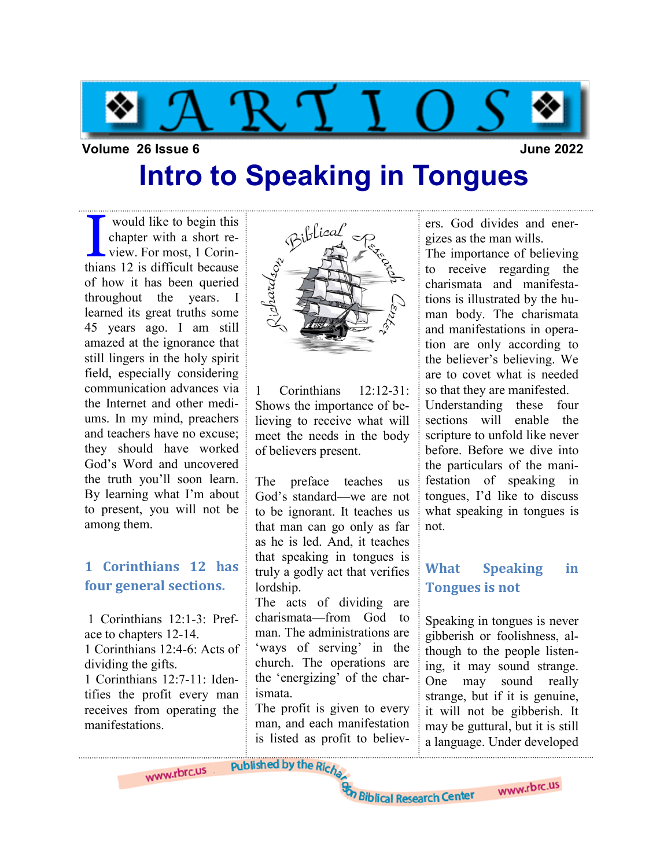

#### Volume 26 Issue 6 June 2022

### Intro to Speaking in Tongues

would like to begin this<br>chapter with a short re-<br>view. For most, 1 Corin-<br>thians 12 is difficult because chapter with a short review. For most, 1 Corinthians 12 is difficult because of how it has been queried throughout the years. I learned its great truths some 45 years ago. I am still amazed at the ignorance that still lingers in the holy spirit field, especially considering communication advances via the Internet and other mediums. In my mind, preachers and teachers have no excuse; they should have worked God's Word and uncovered the truth you'll soon learn. By learning what I'm about to present, you will not be among them.

#### 1 Corinthians 12 has four general sections.

 1 Corinthians 12:1-3: Preface to chapters 12-14. 1 Corinthians 12:4-6: Acts of dividing the gifts.

1 Corinthians 12:7-11: Identifies the profit every man receives from operating the manifestations.



1 Corinthians 12:12-31: Shows the importance of believing to receive what will meet the needs in the body of believers present.

The preface teaches us God's standard—we are not to be ignorant. It teaches us that man can go only as far as he is led. And, it teaches that speaking in tongues is truly a godly act that verifies lordship.

The acts of dividing are charismata—from God to man. The administrations are 'ways of serving' in the church. The operations are the 'energizing' of the charismata.

The profit is given to every man, and each manifestation is listed as profit to believers. God divides and energizes as the man wills.

The importance of believing to receive regarding the charismata and manifestations is illustrated by the human body. The charismata and manifestations in operation are only according to the believer's believing. We are to covet what is needed so that they are manifested. Understanding these four sections will enable the scripture to unfold like never before. Before we dive into the particulars of the manifestation of speaking in tongues, I'd like to discuss what speaking in tongues is not.

### What Speaking in Tongues is not

Speaking in tongues is never gibberish or foolishness, although to the people listening, it may sound strange. One may sound really strange, but if it is genuine, it will not be gibberish. It may be guttural, but it is still a language. Under developed

www.rbrc.us

www.rbrc.us

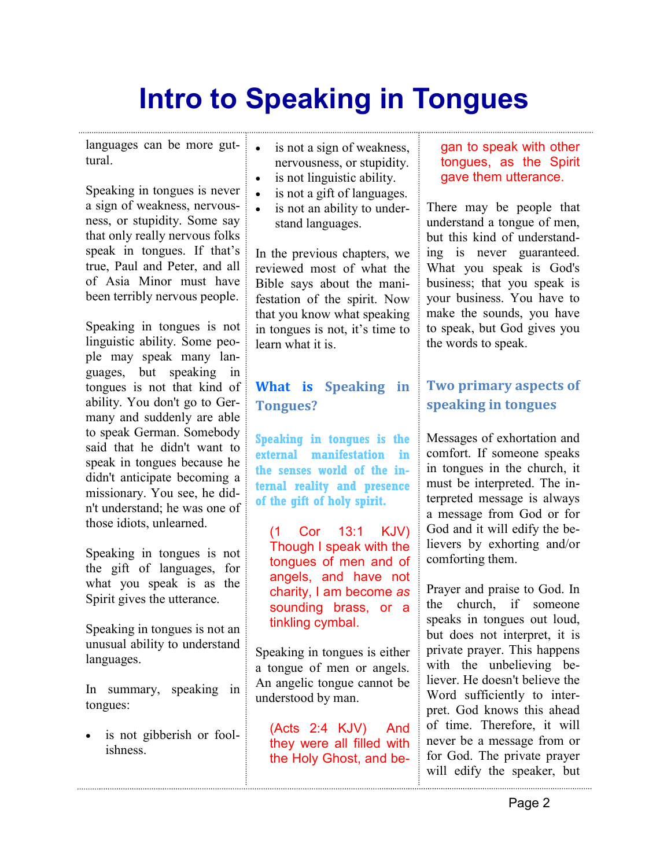languages can be more guttural.

Speaking in tongues is never a sign of weakness, nervousness, or stupidity. Some say that only really nervous folks speak in tongues. If that's true, Paul and Peter, and all of Asia Minor must have been terribly nervous people.

Speaking in tongues is not linguistic ability. Some people may speak many languages, but speaking in tongues is not that kind of ability. You don't go to Germany and suddenly are able to speak German. Somebody said that he didn't want to speak in tongues because he didn't anticipate becoming a missionary. You see, he didn't understand; he was one of those idiots, unlearned.

Speaking in tongues is not the gift of languages, for what you speak is as the Spirit gives the utterance.

Speaking in tongues is not an unusual ability to understand languages.

In summary, speaking in tongues:

• is not gibberish or foolishness.

- is not a sign of weakness, nervousness, or stupidity.
- is not linguistic ability.
- is not a gift of languages.
- is not an ability to understand languages.

In the previous chapters, we reviewed most of what the Bible says about the manifestation of the spirit. Now that you know what speaking in tongues is not, it's time to learn what it is.

### What is Speaking in Tongues?

Speaking in tongues is the external manifestation in the senses world of the internal reality and presence of the gift of holy spirit.

(1 Cor 13:1 KJV) Though I speak with the tongues of men and of angels, and have not charity, I am become as sounding brass, or a tinkling cymbal.

Speaking in tongues is either a tongue of men or angels. An angelic tongue cannot be understood by man.

(Acts 2:4 KJV) And they were all filled with the Holy Ghost, and be-

#### gan to speak with other tongues, as the Spirit gave them utterance.

There may be people that understand a tongue of men, but this kind of understanding is never guaranteed. What you speak is God's business; that you speak is your business. You have to make the sounds, you have to speak, but God gives you the words to speak.

### Two primary aspects of speaking in tongues

Messages of exhortation and comfort. If someone speaks in tongues in the church, it must be interpreted. The interpreted message is always a message from God or for God and it will edify the believers by exhorting and/or comforting them.

Prayer and praise to God. In the church, if someone speaks in tongues out loud, but does not interpret, it is private prayer. This happens with the unbelieving believer. He doesn't believe the Word sufficiently to interpret. God knows this ahead of time. Therefore, it will never be a message from or for God. The private prayer will edify the speaker, but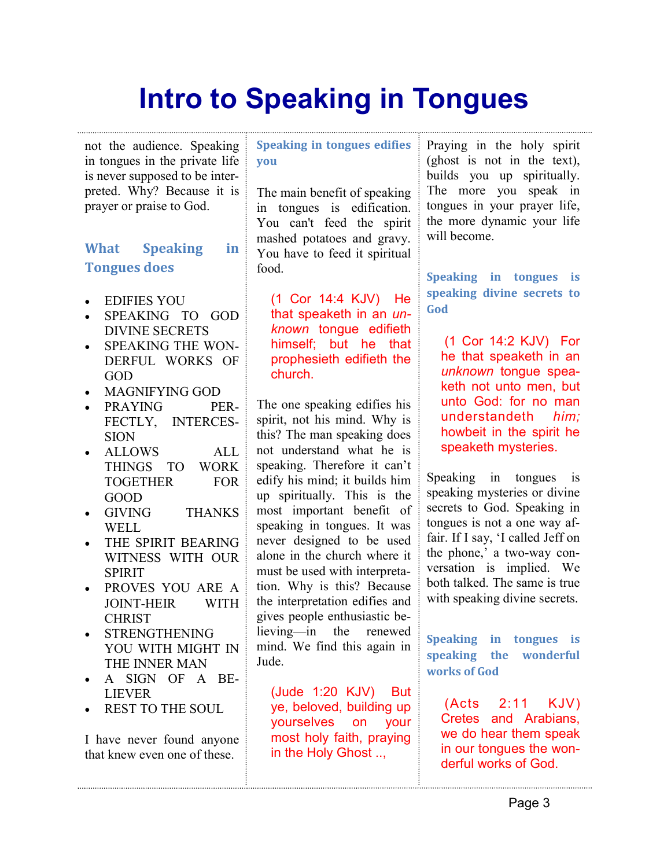not the audience. Speaking in tongues in the private life is never supposed to be interpreted. Why? Because it is prayer or praise to God.

#### What Speaking in Tongues does

- EDIFIES YOU
- SPEAKING TO GOD DIVINE SECRETS
- SPEAKING THE WON-DERFUL WORKS OF GOD
- MAGNIFYING GOD
- PRAYING PER-FECTLY, INTERCES-**SION**
- ALLOWS ALL THINGS TO WORK TOGETHER FOR GOOD
- GIVING THANKS WELL.
- THE SPIRIT BEARING WITNESS WITH OUR SPIRIT
- PROVES YOU ARE A JOINT-HEIR WITH CHRIST
- STRENGTHENING YOU WITH MIGHT IN THE INNER MAN
- A SIGN OF A BE-LIEVER
- REST TO THE SOUL

I have never found anyone that knew even one of these.

Speaking in tongues edifies you

The main benefit of speaking in tongues is edification. You can't feed the spirit mashed potatoes and gravy. You have to feed it spiritual food.

(1 Cor 14:4 KJV) He that speaketh in an unknown tongue edifieth himself; but he that prophesieth edifieth the church.

The one speaking edifies his spirit, not his mind. Why is this? The man speaking does not understand what he is speaking. Therefore it can't edify his mind; it builds him up spiritually. This is the most important benefit of speaking in tongues. It was never designed to be used alone in the church where it must be used with interpretation. Why is this? Because the interpretation edifies and gives people enthusiastic believing—in the renewed mind. We find this again in Jude.

(Jude 1:20 KJV) But ye, beloved, building up yourselves on your most holy faith, praying in the Holy Ghost ..,

Praying in the holy spirit (ghost is not in the text), builds you up spiritually. The more you speak in tongues in your prayer life, the more dynamic your life will become.

Speaking in tongues is speaking divine secrets to God

 (1 Cor 14:2 KJV) For he that speaketh in an unknown tongue speaketh not unto men, but unto God: for no man understandeth him; howbeit in the spirit he speaketh mysteries.

Speaking in tongues is speaking mysteries or divine secrets to God. Speaking in tongues is not a one way affair. If I say, 'I called Jeff on the phone,' a two-way conversation is implied. We both talked. The same is true with speaking divine secrets.

Speaking in tongues is speaking the wonderful works of God

 (Acts 2:11 KJV) Cretes and Arabians, we do hear them speak in our tongues the wonderful works of God.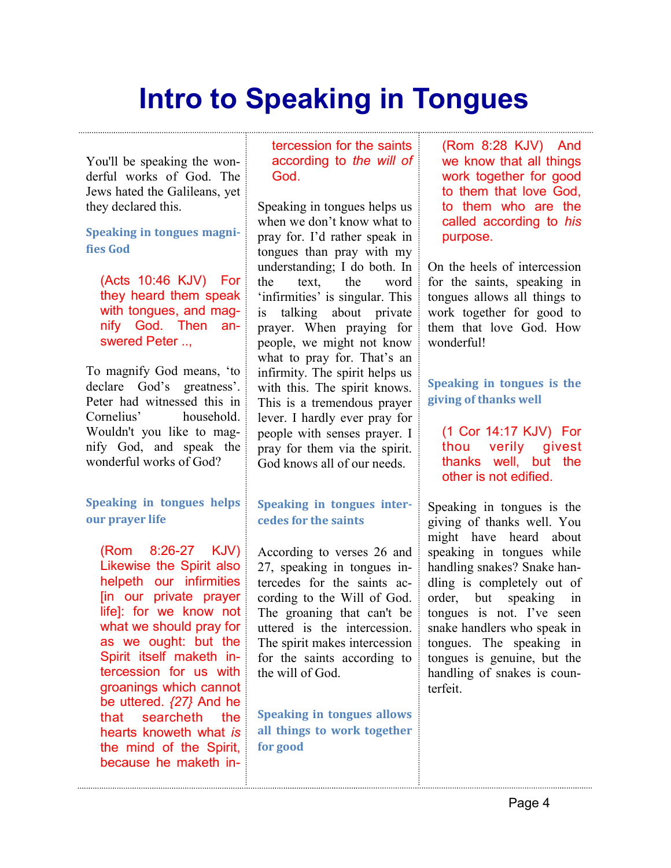You'll be speaking the wonderful works of God. The Jews hated the Galileans, yet they declared this.

Speaking in tongues magnifies God

(Acts 10:46 KJV) For they heard them speak with tongues, and magnify God. Then answered Peter ...

To magnify God means, 'to declare God's greatness'. Peter had witnessed this in Cornelius' household. Wouldn't you like to magnify God, and speak the wonderful works of God?

Speaking in tongues helps our prayer life

(Rom 8:26-27 KJV) Likewise the Spirit also helpeth our infirmities [in our private prayer life]: for we know not what we should pray for as we ought: but the Spirit itself maketh intercession for us with groanings which cannot be uttered. {27} And he that searcheth the hearts knoweth what is the mind of the Spirit, because he maketh intercession for the saints according to the will of God.

Speaking in tongues helps us when we don't know what to pray for. I'd rather speak in tongues than pray with my understanding; I do both. In the text, the word 'infirmities' is singular. This is talking about private prayer. When praying for people, we might not know what to pray for. That's an infirmity. The spirit helps us with this. The spirit knows. This is a tremendous prayer lever. I hardly ever pray for people with senses prayer. I pray for them via the spirit. God knows all of our needs.

#### Speaking in tongues intercedes for the saints

According to verses 26 and 27, speaking in tongues intercedes for the saints according to the Will of God. The groaning that can't be uttered is the intercession. The spirit makes intercession for the saints according to the will of God.

Speaking in tongues allows all things to work together for good

(Rom 8:28 KJV) And we know that all things work together for good to them that love God, to them who are the called according to his purpose.

On the heels of intercession for the saints, speaking in tongues allows all things to work together for good to them that love God. How wonderful!

Speaking in tongues is the giving of thanks well

(1 Cor 14:17 KJV) For thou verily givest thanks well, but the other is not edified.

Speaking in tongues is the giving of thanks well. You might have heard about speaking in tongues while handling snakes? Snake handling is completely out of order, but speaking in tongues is not. I've seen snake handlers who speak in tongues. The speaking in tongues is genuine, but the handling of snakes is counterfeit.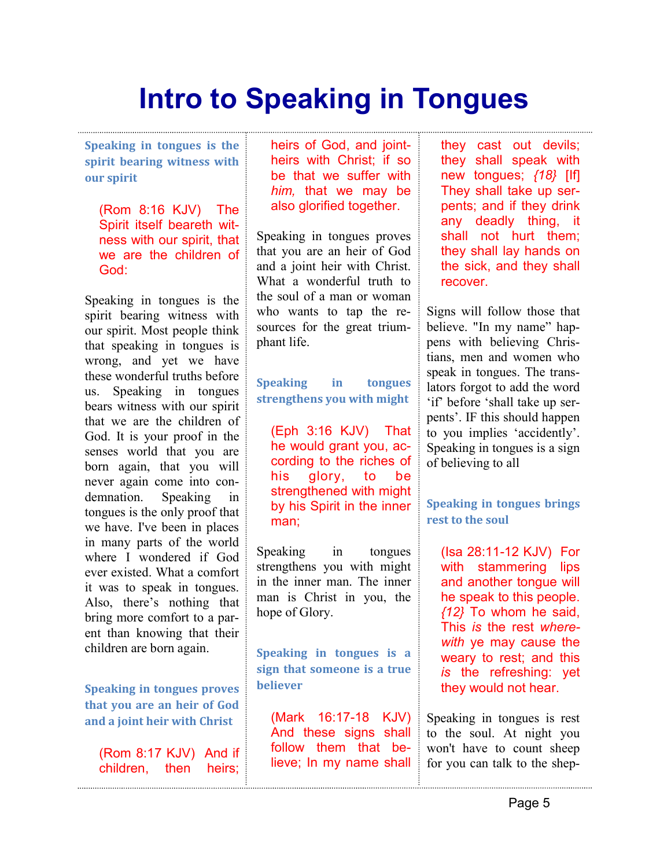Speaking in tongues is the spirit bearing witness with our spirit

(Rom 8:16 KJV) The Spirit itself beareth witness with our spirit, that we are the children of God:

Speaking in tongues is the spirit bearing witness with our spirit. Most people think that speaking in tongues is wrong, and yet we have these wonderful truths before us. Speaking in tongues bears witness with our spirit that we are the children of God. It is your proof in the senses world that you are born again, that you will never again come into condemnation. Speaking in tongues is the only proof that we have. I've been in places in many parts of the world where I wondered if God ever existed. What a comfort it was to speak in tongues. Also, there's nothing that bring more comfort to a parent than knowing that their children are born again.

Speaking in tongues proves that you are an heir of God and a joint heir with Christ

(Rom 8:17 KJV) And if children, then heirs;

heirs of God, and jointheirs with Christ; if so be that we suffer with him, that we may be also glorified together.

Speaking in tongues proves that you are an heir of God and a joint heir with Christ. What a wonderful truth to the soul of a man or woman who wants to tap the resources for the great triumphant life.

Speaking in tongues strengthens you with might

(Eph 3:16 KJV) That he would grant you, according to the riches of his glory, to be strengthened with might by his Spirit in the inner man;

Speaking in tongues strengthens you with might in the inner man. The inner man is Christ in you, the hope of Glory.

Speaking in tongues is a sign that someone is a true believer

(Mark 16:17-18 KJV) And these signs shall follow them that believe; In my name shall

they cast out devils; they shall speak with new tongues;  $\{18\}$  [If] They shall take up serpents; and if they drink any deadly thing, it shall not hurt them; they shall lay hands on the sick, and they shall recover.

Signs will follow those that believe. "In my name" happens with believing Christians, men and women who speak in tongues. The translators forgot to add the word 'if' before 'shall take up serpents'. IF this should happen to you implies 'accidently'. Speaking in tongues is a sign of believing to all

Speaking in tongues brings rest to the soul

(Isa 28:11-12 KJV) For with stammering lips and another tongue will he speak to this people. {12} To whom he said, This is the rest wherewith ye may cause the weary to rest; and this is the refreshing: yet they would not hear.

Speaking in tongues is rest to the soul. At night you won't have to count sheep for you can talk to the shep-